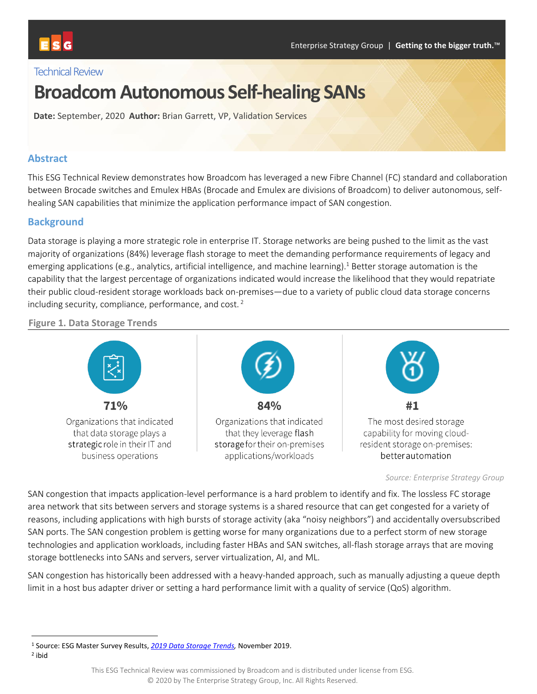#### Technical Review

# **Broadcom Autonomous Self-healing SANs**

**Date:** September, 2020 **Author:** Brian Garrett, VP, Validation Services

#### **Abstract**

This ESG Technical Review demonstrates how Broadcom has leveraged a new Fibre Channel (FC) standard and collaboration between Brocade switches and Emulex HBAs (Brocade and Emulex are divisions of Broadcom) to deliver autonomous, selfhealing SAN capabilities that minimize the application performance impact of SAN congestion.

#### **Background**

Data storage is playing a more strategic role in enterprise IT. Storage networks are being pushed to the limit as the vast majority of organizations (84%) leverage flash storage to meet the demanding performance requirements of legacy and emerging applications (e.g., analytics, artificial intelligence, and machine learning).<sup>1</sup> Better storage automation is the capability that the largest percentage of organizations indicated would increase the likelihood that they would repatriate their public cloud-resident storage workloads back on-premises—due to a variety of public cloud data storage concerns including security, compliance, performance, and cost. <sup>2</sup>

#### **Figure 1. Data Storage Trends**



*Source: Enterprise Strategy Group*

SAN congestion that impacts application-level performance is a hard problem to identify and fix. The lossless FC storage area network that sits between servers and storage systems is a shared resource that can get congested for a variety of reasons, including applications with high bursts of storage activity (aka "noisy neighbors") and accidentally oversubscribed SAN ports. The SAN congestion problem is getting worse for many organizations due to a perfect storm of new storage technologies and application workloads, including faster HBAs and SAN switches, all-flash storage arrays that are moving storage bottlenecks into SANs and servers, server virtualization, AI, and ML.

SAN congestion has historically been addressed with a heavy-handed approach, such as manually adjusting a queue depth limit in a host bus adapter driver or setting a hard performance limit with a quality of service (QoS) algorithm.

2 ibid

<sup>1</sup> Source: ESG Master Survey Results, *[2019 Data Storage Trends,](https://research.esg-global.com/reportaction/DataStorageTrendsMSR2019/Toc)* November 2019.

This ESG Technical Review was commissioned by Broadcom and is distributed under license from ESG. © 2020 by The Enterprise Strategy Group, Inc. All Rights Reserved.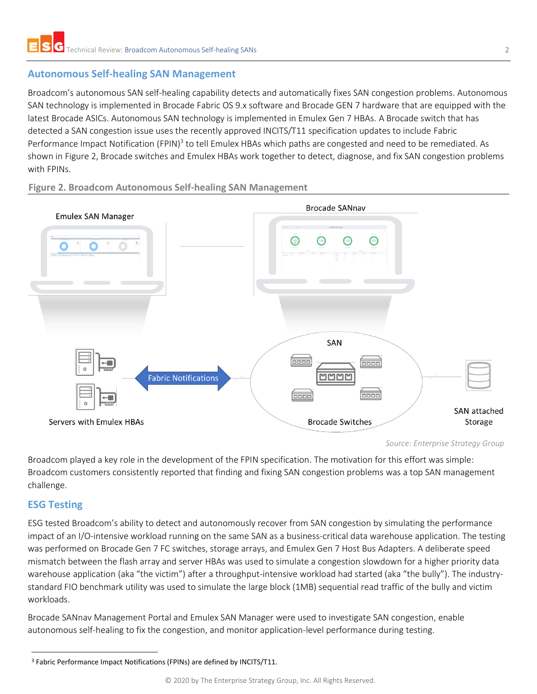#### **Autonomous Self-healing SAN Management**

Broadcom's autonomous SAN self-healing capability detects and automatically fixes SAN congestion problems. Autonomous SAN technology is implemented in Brocade Fabric OS 9.x software and Brocade GEN 7 hardware that are equipped with the latest Brocade ASICs. Autonomous SAN technology is implemented in Emulex Gen 7 HBAs. A Brocade switch that has detected a SAN congestion issue uses the recently approved INCITS/T11 specification updates to include Fabric Performance Impact Notification (FPIN)<sup>3</sup> to tell Emulex HBAs which paths are congested and need to be remediated. As shown in [Figure 2,](#page-1-0) Brocade switches and Emulex HBAs work together to detect, diagnose, and fix SAN congestion problems with FPINs.



<span id="page-1-0"></span>**Figure 2. Broadcom Autonomous Self-healing SAN Management** 

Broadcom played a key role in the development of the FPIN specification. The motivation for this effort was simple: Broadcom customers consistently reported that finding and fixing SAN congestion problems was a top SAN management challenge.

### **ESG Testing**

ESG tested Broadcom's ability to detect and autonomously recover from SAN congestion by simulating the performance impact of an I/O-intensive workload running on the same SAN as a business-critical data warehouse application. The testing was performed on Brocade Gen 7 FC switches, storage arrays, and Emulex Gen 7 Host Bus Adapters. A deliberate speed mismatch between the flash array and server HBAs was used to simulate a congestion slowdown for a higher priority data warehouse application (aka "the victim") after a throughput-intensive workload had started (aka "the bully"). The industrystandard FIO benchmark utility was used to simulate the large block (1MB) sequential read traffic of the bully and victim workloads.

Brocade SANnav Management Portal and Emulex SAN Manager were used to investigate SAN congestion, enable autonomous self-healing to fix the congestion, and monitor application-level performance during testing.

*Source: Enterprise Strategy Group*

<sup>3</sup> Fabric Performance Impact Notifications (FPINs) are defined by INCITS/T11.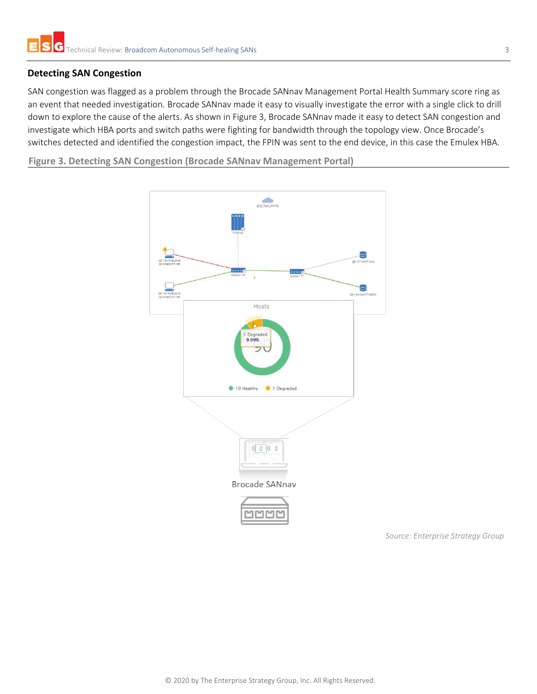#### **Detecting SAN Congestion**

SAN congestion was flagged as a problem through the Brocade SANnav Management Portal Health Summary score ring as an event that needed investigation. Brocade SANnav made it easy to visually investigate the error with a single click to drill down to explore the cause of the alerts. As shown in [Figure 3,](#page-2-0) Brocade SANnav made it easy to detect SAN congestion and investigate which HBA ports and switch paths were fighting for bandwidth through the topology view. Once Brocade's switches detected and identified the congestion impact, the FPIN was sent to the end device, in this case the Emulex HBA.

<span id="page-2-0"></span>**Figure 3. Detecting SAN Congestion (Brocade SANnav Management Portal)**



*Source: Enterprise Strategy Group*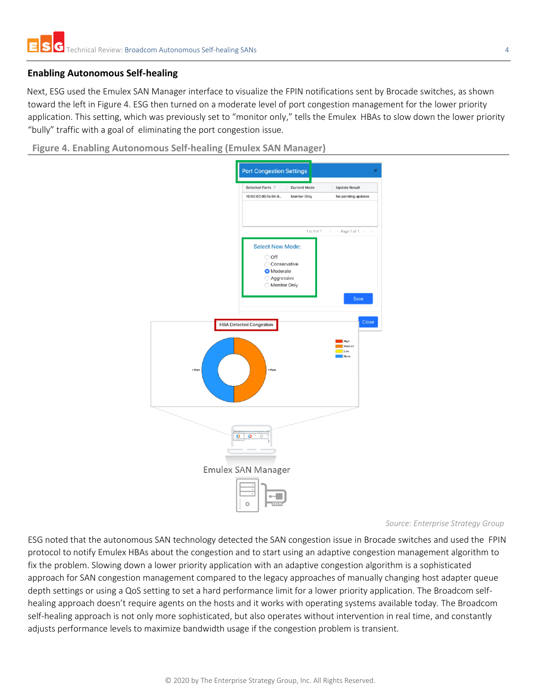#### **Enabling Autonomous Self-healing**

Next, ESG used the Emulex SAN Manager interface to visualize the FPIN notifications sent by Brocade switches, as shown toward the left in Figure 4. ESG then turned on a moderate level of port congestion management for the lower priority application. This setting, which was previously set to "monitor only," tells the Emulex HBAs to slow down the lower priority "bully" traffic with a goal of eliminating the port congestion issue.

**Figure 4. Enabling Autonomous Self-healing (Emulex SAN Manager)**



#### *Source: Enterprise Strategy Group*

ESG noted that the autonomous SAN technology detected the SAN congestion issue in Brocade switches and used the FPIN protocol to notify Emulex HBAs about the congestion and to start using an adaptive congestion management algorithm to fix the problem. Slowing down a lower priority application with an adaptive congestion algorithm is a sophisticated approach for SAN congestion management compared to the legacy approaches of manually changing host adapter queue depth settings or using a QoS setting to set a hard performance limit for a lower priority application. The Broadcom selfhealing approach doesn't require agents on the hosts and it works with operating systems available today. The Broadcom self-healing approach is not only more sophisticated, but also operates without intervention in real time, and constantly adjusts performance levels to maximize bandwidth usage if the congestion problem is transient.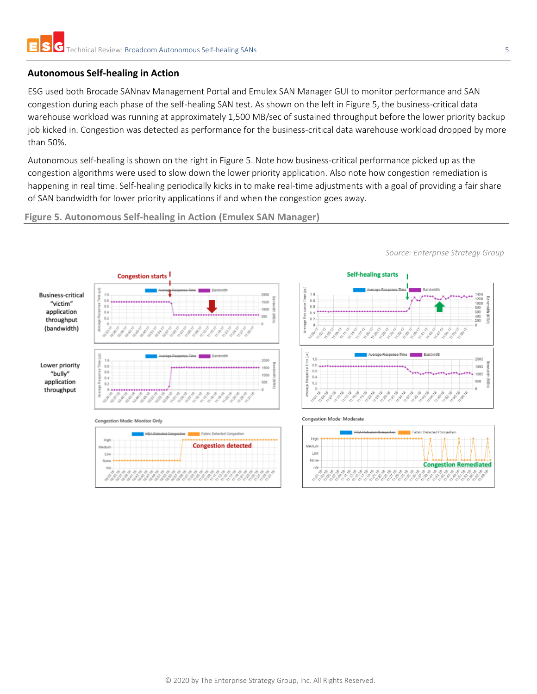#### **Autonomous Self-healing in Action**

ESG used both Brocade SANnav Management Portal and Emulex SAN Manager GUI to monitor performance and SAN congestion during each phase of the self-healing SAN test. As shown on the left i[n Figure 5,](#page-4-0) the business-critical data warehouse workload was running at approximately 1,500 MB/sec of sustained throughput before the lower priority backup job kicked in. Congestion was detected as performance for the business-critical data warehouse workload dropped by more than 50%.

Autonomous self-healing is shown on the right in [Figure 5.](#page-4-0) Note how business-critical performance picked up as the congestion algorithms were used to slow down the lower priority application. Also note how congestion remediation is happening in real time. Self-healing periodically kicks in to make real-time adjustments with a goal of providing a fair share of SAN bandwidth for lower priority applications if and when the congestion goes away.

<span id="page-4-0"></span>**Figure 5. Autonomous Self-healing in Action (Emulex SAN Manager)**



*Source: Enterprise Strategy Group*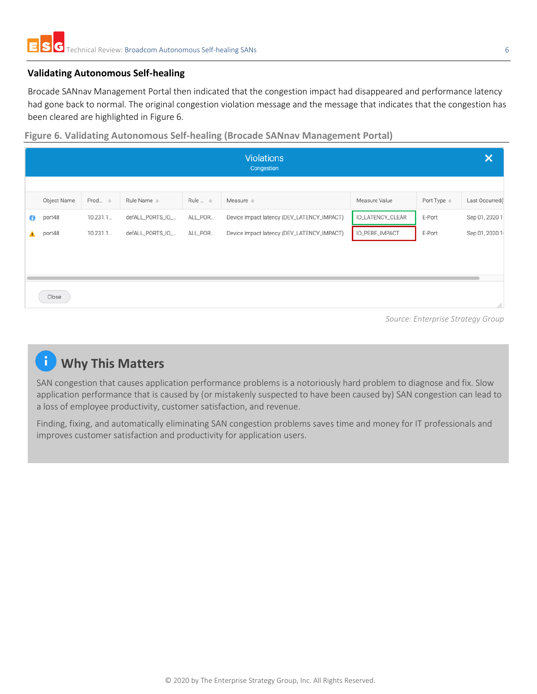#### **Validating Autonomous Self-healing**

Brocade SANnav Management Portal then indicated that the congestion impact had disappeared and performance latency had gone back to normal. The original congestion violation message and the message that indicates that the congestion has been cleared are highlighted in [Figure 6.](#page-5-0)

<span id="page-5-0"></span>**Figure 6. Validating Autonomous Self-healing (Brocade SANnav Management Portal)**

| <b>Violations</b><br>Congestion |             |                    |                  |                    |                                            |                  |                         | $\boldsymbol{\mathsf{x}}$ |
|---------------------------------|-------------|--------------------|------------------|--------------------|--------------------------------------------|------------------|-------------------------|---------------------------|
|                                 |             |                    |                  |                    |                                            |                  |                         |                           |
|                                 | Object Name | Prod $\Rightarrow$ | Rule Name $\div$ | Rule $\Rightarrow$ | Measure $\Leftrightarrow$                  | Measure Value    | Port Type $\Rightarrow$ | Last Occurred(            |
| Θ                               | port48      | 10.231.1.          | defALL_PORTS_IO_ | ALL_POR            | Device Impact latency (DEV_LATENCY_IMPACT) | IO_LATENCY_CLEAR | E-Port                  | Sep 01, 2020 1            |
| ▲                               | port48      | 10.231.1           | defALL_PORTS_IO_ | ALL_POR            | Device Impact latency (DEV_LATENCY_IMPACT) | IO_PERF_IMPACT   | E-Port                  | Sep 01, 2020 1            |
|                                 |             |                    |                  |                    |                                            |                  |                         |                           |
|                                 |             |                    |                  |                    |                                            |                  |                         |                           |
|                                 |             |                    |                  |                    |                                            |                  |                         |                           |
|                                 | Close       |                    |                  |                    |                                            |                  |                         |                           |
|                                 |             |                    |                  |                    |                                            |                  |                         | h.                        |

*Source: Enterprise Strategy Group*

## *i* Why This Matters

SAN congestion that causes application performance problems is a notoriously hard problem to diagnose and fix. Slow application performance that is caused by (or mistakenly suspected to have been caused by) SAN congestion can lead to a loss of employee productivity, customer satisfaction, and revenue.

Finding, fixing, and automatically eliminating SAN congestion problems saves time and money for IT professionals and improves customer satisfaction and productivity for application users.